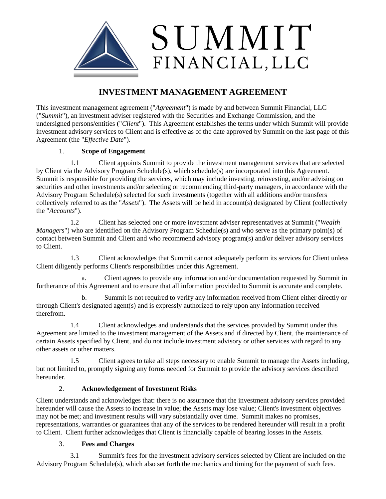

# **INVESTMENT MANAGEMENT AGREEMENT**

This investment management agreement ("*Agreement*") is made by and between Summit Financial, LLC ("*Summit*"), an investment adviser registered with the Securities and Exchange Commission, and the undersigned persons/entities ("*Client*"). This Agreement establishes the terms under which Summit will provide investment advisory services to Client and is effective as of the date approved by Summit on the last page of this Agreement (the "*Effective Date*").

# 1. **Scope of Engagement**

1.1 Client appoints Summit to provide the investment management services that are selected by Client via the Advisory Program Schedule(s), which schedule(s) are incorporated into this Agreement. Summit is responsible for providing the services, which may include investing, reinvesting, and/or advising on securities and other investments and/or selecting or recommending third-party managers, in accordance with the Advisory Program Schedule(s) selected for such investments (together with all additions and/or transfers collectively referred to as the "*Assets*"). The Assets will be held in account(s) designated by Client (collectively the "*Accounts*").

1.2 Client has selected one or more investment adviser representatives at Summit ("*Wealth Managers*") who are identified on the Advisory Program Schedule(s) and who serve as the primary point(s) of contact between Summit and Client and who recommend advisory program(s) and/or deliver advisory services to Client.

1.3 Client acknowledges that Summit cannot adequately perform its services for Client unless Client diligently performs Client's responsibilities under this Agreement.

a. Client agrees to provide any information and/or documentation requested by Summit in furtherance of this Agreement and to ensure that all information provided to Summit is accurate and complete.

b. Summit is not required to verify any information received from Client either directly or through Client's designated agent(s) and is expressly authorized to rely upon any information received therefrom.

1.4 Client acknowledges and understands that the services provided by Summit under this Agreement are limited to the investment management of the Assets and if directed by Client, the maintenance of certain Assets specified by Client, and do not include investment advisory or other services with regard to any other assets or other matters.

1.5 Client agrees to take all steps necessary to enable Summit to manage the Assets including, but not limited to, promptly signing any forms needed for Summit to provide the advisory services described hereunder.

# 2. **Acknowledgement of Investment Risks**

Client understands and acknowledges that: there is no assurance that the investment advisory services provided hereunder will cause the Assets to increase in value; the Assets may lose value; Client's investment objectives may not be met; and investment results will vary substantially over time. Summit makes no promises, representations, warranties or guarantees that any of the services to be rendered hereunder will result in a profit to Client. Client further acknowledges that Client is financially capable of bearing losses in the Assets.

# 3. **Fees and Charges**

3.1 Summit's fees for the investment advisory services selected by Client are included on the Advisory Program Schedule(s), which also set forth the mechanics and timing for the payment of such fees.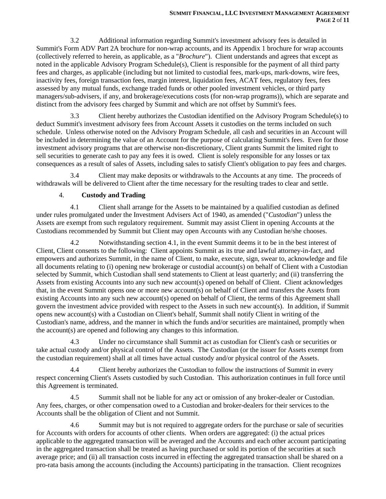3.2 Additional information regarding Summit's investment advisory fees is detailed in Summit's Form ADV Part 2A brochure for non-wrap accounts, and its Appendix 1 brochure for wrap accounts (collectively referred to herein, as applicable, as a "*Brochure*"). Client understands and agrees that except as noted in the applicable Advisory Program Schedule(s), Client is responsible for the payment of all third party fees and charges, as applicable (including but not limited to custodial fees, mark-ups, mark-downs, wire fees, inactivity fees, foreign transaction fees, margin interest, liquidation fees, ACAT fees, regulatory fees, fees assessed by any mutual funds, exchange traded funds or other pooled investment vehicles, or third party managers/sub-advisers, if any, and brokerage/executions costs (for non-wrap programs)), which are separate and distinct from the advisory fees charged by Summit and which are not offset by Summit's fees.

3.3 Client hereby authorizes the Custodian identified on the Advisory Program Schedule(s) to deduct Summit's investment advisory fees from Account Assets it custodies on the terms included on such schedule. Unless otherwise noted on the Advisory Program Schedule, all cash and securities in an Account will be included in determining the value of an Account for the purpose of calculating Summit's fees. Even for those investment advisory programs that are otherwise non-discretionary, Client grants Summit the limited right to sell securities to generate cash to pay any fees it is owed. Client is solely responsible for any losses or tax consequences as a result of sales of Assets, including sales to satisfy Client's obligation to pay fees and charges.

3.4 Client may make deposits or withdrawals to the Accounts at any time. The proceeds of withdrawals will be delivered to Client after the time necessary for the resulting trades to clear and settle.

#### 4. **Custody and Trading**

4.1 Client shall arrange for the Assets to be maintained by a qualified custodian as defined under rules promulgated under the Investment Advisers Act of 1940, as amended ("*Custodian*") unless the Assets are exempt from such regulatory requirement. Summit may assist Client in opening Accounts at the Custodians recommended by Summit but Client may open Accounts with any Custodian he/she chooses.

4.2 Notwithstanding section 4.1, in the event Summit deems it to be in the best interest of Client, Client consents to the following: Client appoints Summit as its true and lawful attorney-in-fact, and empowers and authorizes Summit, in the name of Client, to make, execute, sign, swear to, acknowledge and file all documents relating to (i) opening new brokerage or custodial account(s) on behalf of Client with a Custodian selected by Summit, which Custodian shall send statements to Client at least quarterly; and (ii) transferring the Assets from existing Accounts into any such new account(s) opened on behalf of Client. Client acknowledges that, in the event Summit opens one or more new account(s) on behalf of Client and transfers the Assets from existing Accounts into any such new account(s) opened on behalf of Client, the terms of this Agreement shall govern the investment advice provided with respect to the Assets in such new account(s). In addition, if Summit opens new account(s) with a Custodian on Client's behalf, Summit shall notify Client in writing of the Custodian's name, address, and the manner in which the funds and/or securities are maintained, promptly when the account(s) are opened and following any changes to this information.

4.3 Under no circumstance shall Summit act as custodian for Client's cash or securities or take actual custody and/or physical control of the Assets. The Custodian (or the issuer for Assets exempt from the custodian requirement) shall at all times have actual custody and/or physical control of the Assets.

Client hereby authorizes the Custodian to follow the instructions of Summit in every respect concerning Client's Assets custodied by such Custodian. This authorization continues in full force until this Agreement is terminated.

4.5 Summit shall not be liable for any act or omission of any broker-dealer or Custodian. Any fees, charges, or other compensation owed to a Custodian and broker-dealers for their services to the Accounts shall be the obligation of Client and not Summit.

4.6 Summit may but is not required to aggregate orders for the purchase or sale of securities for Accounts with orders for accounts of other clients. When orders are aggregated: (i) the actual prices applicable to the aggregated transaction will be averaged and the Accounts and each other account participating in the aggregated transaction shall be treated as having purchased or sold its portion of the securities at such average price; and (ii) all transaction costs incurred in effecting the aggregated transaction shall be shared on a pro-rata basis among the accounts (including the Accounts) participating in the transaction. Client recognizes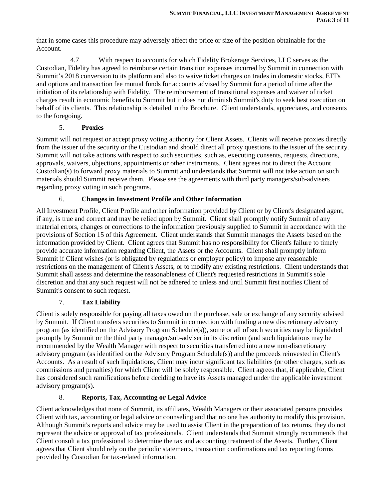that in some cases this procedure may adversely affect the price or size of the position obtainable for the Account.

4.7 With respect to accounts for which Fidelity Brokerage Services, LLC serves as the Custodian, Fidelity has agreed to reimburse certain transition expenses incurred by Summit in connection with Summit's 2018 conversion to its platform and also to waive ticket charges on trades in domestic stocks, ETFs and options and transaction fee mutual funds for accounts advised by Summit for a period of time after the initiation of its relationship with Fidelity. The reimbursement of transitional expenses and waiver of ticket charges result in economic benefits to Summit but it does not diminish Summit's duty to seek best execution on behalf of its clients. This relationship is detailed in the Brochure. Client understands, appreciates, and consents to the foregoing.

# 5. **Proxies**

Summit will not request or accept proxy voting authority for Client Assets. Clients will receive proxies directly from the issuer of the security or the Custodian and should direct all proxy questions to the issuer of the security. Summit will not take actions with respect to such securities, such as, executing consents, requests, directions, approvals, waivers, objections, appointments or other instruments. Client agrees not to direct the Account Custodian(s) to forward proxy materials to Summit and understands that Summit will not take action on such materials should Summit receive them. Please see the agreements with third party managers/sub-advisers regarding proxy voting in such programs.

# 6. **Changes in Investment Profile and Other Information**

All Investment Profile, Client Profile and other information provided by Client or by Client's designated agent, if any, is true and correct and may be relied upon by Summit. Client shall promptly notify Summit of any material errors, changes or corrections to the information previously supplied to Summit in accordance with the provisions of Section 15 of this Agreement. Client understands that Summit manages the Assets based on the information provided by Client. Client agrees that Summit has no responsibility for Client's failure to timely provide accurate information regarding Client, the Assets or the Accounts. Client shall promptly inform Summit if Client wishes (or is obligated by regulations or employer policy) to impose any reasonable restrictions on the management of Client's Assets, or to modify any existing restrictions. Client understands that Summit shall assess and determine the reasonableness of Client's requested restrictions in Summit's sole discretion and that any such request will not be adhered to unless and until Summit first notifies Client of Summit's consent to such request.

# 7. **Tax Liability**

Client is solely responsible for paying all taxes owed on the purchase, sale or exchange of any security advised by Summit. If Client transfers securities to Summit in connection with funding a new discretionary advisory program (as identified on the Advisory Program Schedule(s)), some or all of such securities may be liquidated promptly by Summit or the third party manager/sub-adviser in its discretion (and such liquidations may be recommended by the Wealth Manager with respect to securities transferred into a new non-discretionary advisory program (as identified on the Advisory Program Schedule(s)) and the proceeds reinvested in Client's Accounts. As a result of such liquidations, Client may incur significant tax liabilities (or other charges, such as commissions and penalties) for which Client will be solely responsible. Client agrees that, if applicable, Client has considered such ramifications before deciding to have its Assets managed under the applicable investment advisory program(s).

# 8. **Reports, Tax, Accounting or Legal Advice**

Client acknowledges that none of Summit, its affiliates, Wealth Managers or their associated persons provides Client with tax, accounting or legal advice or counseling and that no one has authority to modify this provision. Although Summit's reports and advice may be used to assist Client in the preparation of tax returns, they do not represent the advice or approval of tax professionals. Client understands that Summit strongly recommends that Client consult a tax professional to determine the tax and accounting treatment of the Assets. Further, Client agrees that Client should rely on the periodic statements, transaction confirmations and tax reporting forms provided by Custodian for tax-related information.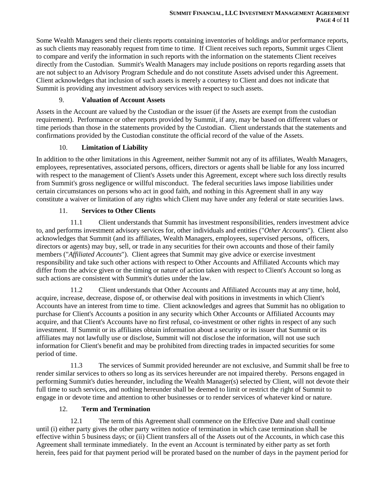Some Wealth Managers send their clients reports containing inventories of holdings and/or performance reports, as such clients may reasonably request from time to time. If Client receives such reports, Summit urges Client to compare and verify the information in such reports with the information on the statements Client receives directly from the Custodian. Summit's Wealth Managers may include positions on reports regarding assets that are not subject to an Advisory Program Schedule and do not constitute Assets advised under this Agreement. Client acknowledges that inclusion of such assets is merely a courtesy to Client and does not indicate that Summit is providing any investment advisory services with respect to such assets.

#### 9. **Valuation of Account Assets**

Assets in the Account are valued by the Custodian or the issuer (if the Assets are exempt from the custodian requirement). Performance or other reports provided by Summit, if any, may be based on different values or time periods than those in the statements provided by the Custodian. Client understands that the statements and confirmations provided by the Custodian constitute the official record of the value of the Assets.

# 10. **Limitation of Liability**

In addition to the other limitations in this Agreement, neither Summit not any of its affiliates, Wealth Managers, employees, representatives, associated persons, officers, directors or agents shall be liable for any loss incurred with respect to the management of Client's Assets under this Agreement, except where such loss directly results from Summit's gross negligence or willful misconduct. The federal securities laws impose liabilities under certain circumstances on persons who act in good faith, and nothing in this Agreement shall in any way constitute a waiver or limitation of any rights which Client may have under any federal or state securities laws.

#### 11. **Services to Other Clients**

11.1 Client understands that Summit has investment responsibilities, renders investment advice to, and performs investment advisory services for, other individuals and entities ("*Other Accounts*"). Client also acknowledges that Summit (and its affiliates, Wealth Managers, employees, supervised persons, officers, directors or agents) may buy, sell, or trade in any securities for their own accounts and those of their family members ("*Affiliated Accounts*"). Client agrees that Summit may give advice or exercise investment responsibility and take such other actions with respect to Other Accounts and Affiliated Accounts which may differ from the advice given or the timing or nature of action taken with respect to Client's Account so long as such actions are consistent with Summit's duties under the law.

11.2 Client understands that Other Accounts and Affiliated Accounts may at any time, hold, acquire, increase, decrease, dispose of, or otherwise deal with positions in investments in which Client's Accounts have an interest from time to time. Client acknowledges and agrees that Summit has no obligation to purchase for Client's Accounts a position in any security which Other Accounts or Affiliated Accounts may acquire, and that Client's Accounts have no first refusal, co-investment or other rights in respect of any such investment. If Summit or its affiliates obtain information about a security or its issuer that Summit or its affiliates may not lawfully use or disclose, Summit will not disclose the information, will not use such information for Client's benefit and may be prohibited from directing trades in impacted securities for some period of time.

11.3 The services of Summit provided hereunder are not exclusive, and Summit shall be free to render similar services to others so long as its services hereunder are not impaired thereby. Persons engaged in performing Summit's duties hereunder, including the Wealth Manager(s) selected by Client, will not devote their full time to such services, and nothing hereunder shall be deemed to limit or restrict the right of Summit to engage in or devote time and attention to other businesses or to render services of whatever kind or nature.

# 12. **Term and Termination**

12.1 The term of this Agreement shall commence on the Effective Date and shall continue until (i) either party gives the other party written notice of termination in which case termination shall be effective within 5 business days; or (ii) Client transfers all of the Assets out of the Accounts, in which case this Agreement shall terminate immediately. In the event an Account is terminated by either party as set forth herein, fees paid for that payment period will be prorated based on the number of days in the payment period for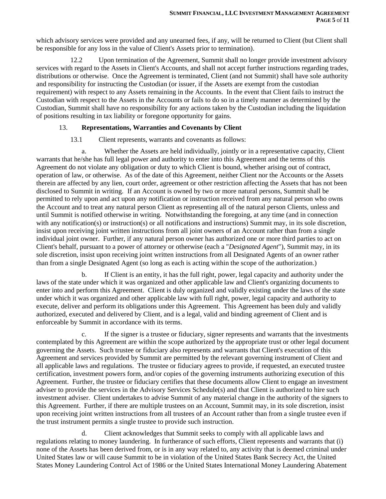which advisory services were provided and any unearned fees, if any, will be returned to Client (but Client shall be responsible for any loss in the value of Client's Assets prior to termination).

12.2 Upon termination of the Agreement, Summit shall no longer provide investment advisory services with regard to the Assets in Client's Accounts, and shall not accept further instructions regarding trades, distributions or otherwise. Once the Agreement is terminated, Client (and not Summit) shall have sole authority and responsibility for instructing the Custodian (or issuer, if the Assets are exempt from the custodian requirement) with respect to any Assets remaining in the Accounts. In the event that Client fails to instruct the Custodian with respect to the Assets in the Accounts or fails to do so in a timely manner as determined by the Custodian, Summit shall have no responsibility for any actions taken by the Custodian including the liquidation of positions resulting in tax liability or foregone opportunity for gains.

#### 13. **Representations, Warranties and Covenants by Client**

13.1 Client represents, warrants and covenants as follows:

a. Whether the Assets are held individually, jointly or in a representative capacity, Client warrants that he/she has full legal power and authority to enter into this Agreement and the terms of this Agreement do not violate any obligation or duty to which Client is bound, whether arising out of contract, operation of law, or otherwise. As of the date of this Agreement, neither Client nor the Accounts or the Assets therein are affected by any lien, court order, agreement or other restriction affecting the Assets that has not been disclosed to Summit in writing. If an Account is owned by two or more natural persons, Summit shall be permitted to rely upon and act upon any notification or instruction received from any natural person who owns the Account and to treat any natural person Client as representing all of the natural person Clients, unless and until Summit is notified otherwise in writing. Notwithstanding the foregoing, at any time (and in connection with any notification(s) or instruction(s) or all notifications and instructions) Summit may, in its sole discretion, insist upon receiving joint written instructions from all joint owners of an Account rather than from a single individual joint owner. Further, if any natural person owner has authorized one or more third parties to act on Client's behalf, pursuant to a power of attorney or otherwise (each a "*Designated Agent*"), Summit may, in its sole discretion, insist upon receiving joint written instructions from all Designated Agents of an owner rather than from a single Designated Agent (so long as each is acting within the scope of the authorization.)

b. If Client is an entity, it has the full right, power, legal capacity and authority under the laws of the state under which it was organized and other applicable law and Client's organizing documents to enter into and perform this Agreement. Client is duly organized and validly existing under the laws of the state under which it was organized and other applicable law with full right, power, legal capacity and authority to execute, deliver and perform its obligations under this Agreement. This Agreement has been duly and validly authorized, executed and delivered by Client, and is a legal, valid and binding agreement of Client and is enforceable by Summit in accordance with its terms.

c. If the signer is a trustee or fiduciary, signer represents and warrants that the investments contemplated by this Agreement are within the scope authorized by the appropriate trust or other legal document governing the Assets. Such trustee or fiduciary also represents and warrants that Client's execution of this Agreement and services provided by Summit are permitted by the relevant governing instrument of Client and all applicable laws and regulations. The trustee or fiduciary agrees to provide, if requested, an executed trustee certification, investment powers form, and/or copies of the governing instruments authorizing execution of this Agreement. Further, the trustee or fiduciary certifies that these documents allow Client to engage an investment adviser to provide the services in the Advisory Services Schedule(s) and that Client is authorized to hire such investment adviser. Client undertakes to advise Summit of any material change in the authority of the signers to this Agreement. Further, if there are multiple trustees on an Account, Summit may, in its sole discretion, insist upon receiving joint written instructions from all trustees of an Account rather than from a single trustee even if the trust instrument permits a single trustee to provide such instruction.

d. Client acknowledges that Summit seeks to comply with all applicable laws and regulations relating to money laundering. In furtherance of such efforts, Client represents and warrants that (i) none of the Assets has been derived from, or is in any way related to, any activity that is deemed criminal under United States law or will cause Summit to be in violation of the United States Bank Secrecy Act, the United States Money Laundering Control Act of 1986 or the United States International Money Laundering Abatement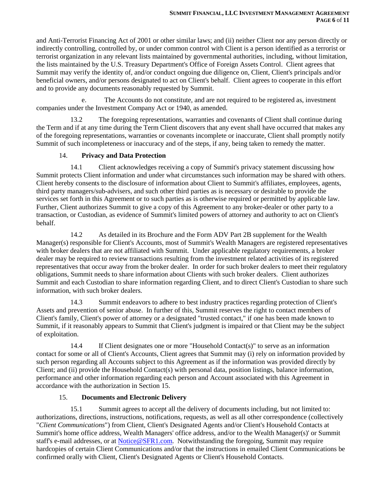and Anti-Terrorist Financing Act of 2001 or other similar laws; and (ii) neither Client nor any person directly or indirectly controlling, controlled by, or under common control with Client is a person identified as a terrorist or terrorist organization in any relevant lists maintained by governmental authorities, including, without limitation, the lists maintained by the U.S. Treasury Department's Office of Foreign Assets Control. Client agrees that Summit may verify the identity of, and/or conduct ongoing due diligence on, Client, Client's principals and/or beneficial owners, and/or persons designated to act on Client's behalf. Client agrees to cooperate in this effort and to provide any documents reasonably requested by Summit.

e. The Accounts do not constitute, and are not required to be registered as, investment companies under the Investment Company Act or 1940, as amended.

13.2 The foregoing representations, warranties and covenants of Client shall continue during the Term and if at any time during the Term Client discovers that any event shall have occurred that makes any of the foregoing representations, warranties or covenants incomplete or inaccurate, Client shall promptly notify Summit of such incompleteness or inaccuracy and of the steps, if any, being taken to remedy the matter.

#### 14. **Privacy and Data Protection**

14.1 Client acknowledges receiving a copy of Summit's privacy statement discussing how Summit protects Client information and under what circumstances such information may be shared with others. Client hereby consents to the disclosure of information about Client to Summit's affiliates, employees, agents, third party managers/sub-advisers, and such other third parties as is necessary or desirable to provide the services set forth in this Agreement or to such parties as is otherwise required or permitted by applicable law. Further, Client authorizes Summit to give a copy of this Agreement to any broker-dealer or other party to a transaction, or Custodian, as evidence of Summit's limited powers of attorney and authority to act on Client's behalf.

14.2 As detailed in its Brochure and the Form ADV Part 2B supplement for the Wealth Manager(s) responsible for Client's Accounts, most of Summit's Wealth Managers are registered representatives with broker dealers that are not affiliated with Summit. Under applicable regulatory requirements, a broker dealer may be required to review transactions resulting from the investment related activities of its registered representatives that occur away from the broker dealer. In order for such broker dealers to meet their regulatory obligations, Summit needs to share information about Clients with such broker dealers. Client authorizes Summit and each Custodian to share information regarding Client, and to direct Client's Custodian to share such information, with such broker dealers.

14.3 Summit endeavors to adhere to best industry practices regarding protection of Client's Assets and prevention of senior abuse. In further of this, Summit reserves the right to contact members of Client's family, Client's power of attorney or a designated "trusted contact," if one has been made known to Summit, if it reasonably appears to Summit that Client's judgment is impaired or that Client may be the subject of exploitation.

14.4 If Client designates one or more "Household Contact(s)" to serve as an information contact for some or all of Client's Accounts, Client agrees that Summit may (i) rely on information provided by such person regarding all Accounts subject to this Agreement as if the information was provided directly by Client; and (ii) provide the Household Contact(s) with personal data, position listings, balance information, performance and other information regarding each person and Account associated with this Agreement in accordance with the authorization in Section 15.

# 15. **Documents and Electronic Delivery**

15.1 Summit agrees to accept all the delivery of documents including, but not limited to: authorizations, directions, instructions, notifications, requests, as well as all other correspondence (collectively "*Client Communications*") from Client, Client's Designated Agents and/or Client's Household Contacts at Summit's home office address, Wealth Managers' office address, and/or to the Wealth Manager(s)' or Summit staff's e-mail addresses, or at [Notice@SFR1.com.](mailto:Notice@SFR1.com) Notwithstanding the foregoing, Summit may require hardcopies of certain Client Communications and/or that the instructions in emailed Client Communications be confirmed orally with Client, Client's Designated Agents or Client's Household Contacts.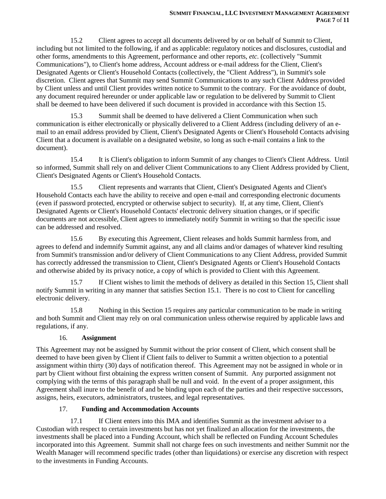15.2 Client agrees to accept all documents delivered by or on behalf of Summit to Client, including but not limited to the following, if and as applicable: regulatory notices and disclosures, custodial and other forms, amendments to this Agreement, performance and other reports, *etc.* (collectively "Summit Communications"), to Client's home address, Account address or e-mail address for the Client, Client's Designated Agents or Client's Household Contacts (collectively, the "Client Address"), in Summit's sole discretion. Client agrees that Summit may send Summit Communications to any such Client Address provided by Client unless and until Client provides written notice to Summit to the contrary. For the avoidance of doubt, any document required hereunder or under applicable law or regulation to be delivered by Summit to Client shall be deemed to have been delivered if such document is provided in accordance with this Section 15.

15.3 Summit shall be deemed to have delivered a Client Communication when such communication is either electronically or physically delivered to a Client Address (including delivery of an email to an email address provided by Client, Client's Designated Agents or Client's Household Contacts advising Client that a document is available on a designated website, so long as such e-mail contains a link to the document).

15.4 It is Client's obligation to inform Summit of any changes to Client's Client Address. Until so informed, Summit shall rely on and deliver Client Communications to any Client Address provided by Client, Client's Designated Agents or Client's Household Contacts.

15.5 Client represents and warrants that Client, Client's Designated Agents and Client's Household Contacts each have the ability to receive and open e-mail and corresponding electronic documents (even if password protected, encrypted or otherwise subject to security). If, at any time, Client, Client's Designated Agents or Client's Household Contacts' electronic delivery situation changes, or if specific documents are not accessible, Client agrees to immediately notify Summit in writing so that the specific issue can be addressed and resolved.

15.6 By executing this Agreement, Client releases and holds Summit harmless from, and agrees to defend and indemnify Summit against, any and all claims and/or damages of whatever kind resulting from Summit's transmission and/or delivery of Client Communications to any Client Address, provided Summit has correctly addressed the transmission to Client, Client's Designated Agents or Client's Household Contacts and otherwise abided by its privacy notice, a copy of which is provided to Client with this Agreement.

15.7 If Client wishes to limit the methods of delivery as detailed in this Section 15, Client shall notify Summit in writing in any manner that satisfies Section 15.1. There is no cost to Client for cancelling electronic delivery.

15.8 Nothing in this Section 15 requires any particular communication to be made in writing and both Summit and Client may rely on oral communication unless otherwise required by applicable laws and regulations, if any.

# 16. **Assignment**

This Agreement may not be assigned by Summit without the prior consent of Client, which consent shall be deemed to have been given by Client if Client fails to deliver to Summit a written objection to a potential assignment within thirty (30) days of notification thereof. This Agreement may not be assigned in whole or in part by Client without first obtaining the express written consent of Summit. Any purported assignment not complying with the terms of this paragraph shall be null and void. In the event of a proper assignment, this Agreement shall inure to the benefit of and be binding upon each of the parties and their respective successors, assigns, heirs, executors, administrators, trustees, and legal representatives.

# 17. **Funding and Accommodation Accounts**

17.1 If Client enters into this IMA and identifies Summit as the investment adviser to a Custodian with respect to certain investments but has not yet finalized an allocation for the investments, the investments shall be placed into a Funding Account, which shall be reflected on Funding Account Schedules incorporated into this Agreement. Summit shall not charge fees on such investments and neither Summit nor the Wealth Manager will recommend specific trades (other than liquidations) or exercise any discretion with respect to the investments in Funding Accounts.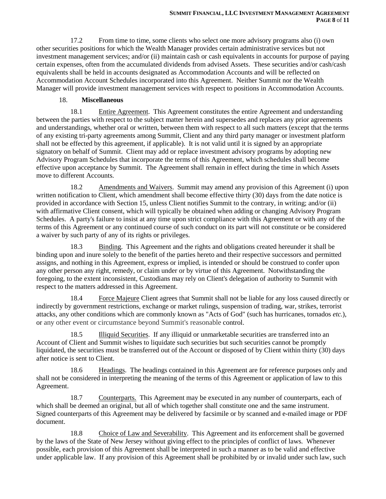17.2 From time to time, some clients who select one more advisory programs also (i) own other securities positions for which the Wealth Manager provides certain administrative services but not investment management services; and/or (ii) maintain cash or cash equivalents in accounts for purpose of paying certain expenses, often from the accumulated dividends from advised Assets. These securities and/or cash/cash equivalents shall be held in accounts designated as Accommodation Accounts and will be reflected on Accommodation Account Schedules incorporated into this Agreement. Neither Summit nor the Wealth Manager will provide investment management services with respect to positions in Accommodation Accounts.

#### 18. **Miscellaneous**

18.1 Entire Agreement.This Agreement constitutes the entire Agreement and understanding between the parties with respect to the subject matter herein and supersedes and replaces any prior agreements and understandings, whether oral or written, between them with respect to all such matters (except that the terms of any existing tri-party agreements among Summit, Client and any third party manager or investment platform shall not be effected by this agreement, if applicable). It is not valid until it is signed by an appropriate signatory on behalf of Summit. Client may add or replace investment advisory programs by adopting new Advisory Program Schedules that incorporate the terms of this Agreement, which schedules shall become effective upon acceptance by Summit. The Agreement shall remain in effect during the time in which Assets move to different Accounts.

18.2 Amendments and Waivers. Summit may amend any provision of this Agreement (i) upon written notification to Client, which amendment shall become effective thirty (30) days from the date notice is provided in accordance with Section 15, unless Client notifies Summit to the contrary, in writing; and/or (ii) with affirmative Client consent, which will typically be obtained when adding or changing Advisory Program Schedules. A party's failure to insist at any time upon strict compliance with this Agreement or with any of the terms of this Agreement or any continued course of such conduct on its part will not constitute or be considered a waiver by such party of any of its rights or privileges.

18.3 Binding. This Agreement and the rights and obligations created hereunder it shall be binding upon and inure solely to the benefit of the parties hereto and their respective successors and permitted assigns, and nothing in this Agreement, express or implied, is intended or should be construed to confer upon any other person any right, remedy, or claim under or by virtue of this Agreement. Notwithstanding the foregoing, to the extent inconsistent, Custodians may rely on Client's delegation of authority to Summit with respect to the matters addressed in this Agreement.

18.4 Force Majeure Client agrees that Summit shall not be liable for any loss caused directly or indirectly by government restrictions, exchange or market rulings, suspension of trading, war, strikes, terrorist attacks, any other conditions which are commonly known as "Acts of God" (such has hurricanes, tornados *etc.*), or any other event or circumstance beyond Summit's reasonable control.

18.5 Illiquid Securities. If any illiquid or unmarketable securities are transferred into an Account of Client and Summit wishes to liquidate such securities but such securities cannot be promptly liquidated, the securities must be transferred out of the Account or disposed of by Client within thirty (30) days after notice is sent to Client.

18.6 Headings. The headings contained in this Agreement are for reference purposes only and shall not be considered in interpreting the meaning of the terms of this Agreement or application of law to this Agreement.

18.7 Counterparts.This Agreement may be executed in any number of counterparts, each of which shall be deemed an original, but all of which together shall constitute one and the same instrument. Signed counterparts of this Agreement may be delivered by facsimile or by scanned and e-mailed image or PDF document.

18.8 Choice of Law and Severability. This Agreement and its enforcement shall be governed by the laws of the State of New Jersey without giving effect to the principles of conflict of laws. Whenever possible, each provision of this Agreement shall be interpreted in such a manner as to be valid and effective under applicable law. If any provision of this Agreement shall be prohibited by or invalid under such law, such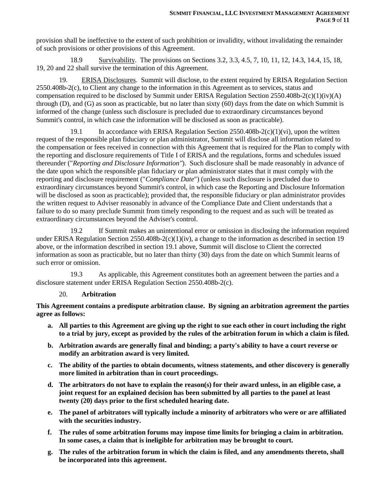provision shall be ineffective to the extent of such prohibition or invalidity, without invalidating the remainder of such provisions or other provisions of this Agreement.

18.9 Survivability. The provisions on Sections 3.2, 3.3, 4.5, 7, 10, 11, 12, 14.3, 14.4, 15, 18, 19, 20 and 22 shall survive the termination of this Agreement.

19. ERISA Disclosures. Summit will disclose, to the extent required by ERISA Regulation Section 2550.408b-2(c), to Client any change to the information in this Agreement as to services, status and compensation required to be disclosed by Summit under ERISA Regulation Section 2550.408b-2(c)(1)(iv)(A) through (D), and (G) as soon as practicable, but no later than sixty (60) days from the date on which Summit is informed of the change (unless such disclosure is precluded due to extraordinary circumstances beyond Summit's control, in which case the information will be disclosed as soon as practicable).

In accordance with ERISA Regulation Section  $2550.408b-2(c)(1)(vi)$ , upon the written request of the responsible plan fiduciary or plan administrator, Summit will disclose all information related to the compensation or fees received in connection with this Agreement that is required for the Plan to comply with the reporting and disclosure requirements of Title I of ERISA and the regulations, forms and schedules issued thereunder ("*Reporting and Disclosure Information"*). Such disclosure shall be made reasonably in advance of the date upon which the responsible plan fiduciary or plan administrator states that it must comply with the reporting and disclosure requirement ("*Compliance Date*") (unless such disclosure is precluded due to extraordinary circumstances beyond Summit's control, in which case the Reporting and Disclosure Information will be disclosed as soon as practicable); provided that, the responsible fiduciary or plan administrator provides the written request to Adviser reasonably in advance of the Compliance Date and Client understands that a failure to do so many preclude Summit from timely responding to the request and as such will be treated as extraordinary circumstances beyond the Adviser's control.

19.2 If Summit makes an unintentional error or omission in disclosing the information required under ERISA Regulation Section 2550.408b-2(c)(1)(iv), a change to the information as described in section 19 above, or the information described in section 19.1 above, Summit will disclose to Client the corrected information as soon as practicable, but no later than thirty (30) days from the date on which Summit learns of such error or omission.

19.3 As applicable, this Agreement constitutes both an agreement between the parties and a disclosure statement under ERISA Regulation Section 2550.408b-2(c).

# 20. **Arbitration**

**This Agreement contains a predispute arbitration clause. By signing an arbitration agreement the parties agree as follows:**

- **a. All parties to this Agreement are giving up the right to sue each other in court including the right to a trial by jury, except as provided by the rules of the arbitration forum in which a claim is filed.**
- **b. Arbitration awards are generally final and binding; a party's ability to have a court reverse or modify an arbitration award is very limited.**
- **c. The ability of the parties to obtain documents, witness statements, and other discovery is generally more limited in arbitration than in court proceedings.**
- **d. The arbitrators do not have to explain the reason(s) for their award unless, in an eligible case, a joint request for an explained decision has been submitted by all parties to the panel at least twenty (20) days prior to the first scheduled hearing date.**
- **e. The panel of arbitrators will typically include a minority of arbitrators who were or are affiliated with the securities industry.**
- **f. The rules of some arbitration forums may impose time limits for bringing a claim in arbitration. In some cases, a claim that is ineligible for arbitration may be brought to court.**
- **g. The rules of the arbitration forum in which the claim is filed, and any amendments thereto, shall be incorporated into this agreement.**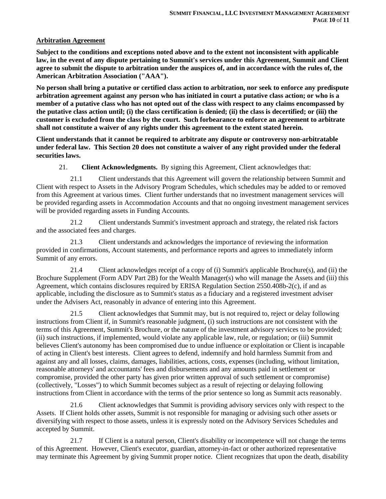#### **Arbitration Agreement**

**Subject to the conditions and exceptions noted above and to the extent not inconsistent with applicable law, in the event of any dispute pertaining to Summit's services under this Agreement, Summit and Client agree to submit the dispute to arbitration under the auspices of, and in accordance with the rules of, the American Arbitration Association ("AAA").**

**No person shall bring a putative or certified class action to arbitration, nor seek to enforce any predispute arbitration agreement against any person who has initiated in court a putative class action; or who is a member of a putative class who has not opted out of the class with respect to any claims encompassed by the putative class action until; (i) the class certification is denied; (ii) the class is decertified; or (iii) the customer is excluded from the class by the court. Such forbearance to enforce an agreement to arbitrate shall not constitute a waiver of any rights under this agreement to the extent stated herein.**

**Client understands that it cannot be required to arbitrate any dispute or controversy non-arbitratable under federal law. This Section 20 does not constitute a waiver of any right provided under the federal securities laws.**

21. **Client Acknowledgments.** By signing this Agreement, Client acknowledges that:

21.1 Client understands that this Agreement will govern the relationship between Summit and Client with respect to Assets in the Advisory Program Schedules, which schedules may be added to or removed from this Agreement at various times. Client further understands that no investment management services will be provided regarding assets in Accommodation Accounts and that no ongoing investment management services will be provided regarding assets in Funding Accounts.

21.2 Client understands Summit's investment approach and strategy, the related risk factors and the associated fees and charges.

21.3 Client understands and acknowledges the importance of reviewing the information provided in confirmations, Account statements, and performance reports and agrees to immediately inform Summit of any errors.

21.4 Client acknowledges receipt of a copy of (i) Summit's applicable Brochure(s), and (ii) the Brochure Supplement (Form ADV Part 2B) for the Wealth Manager(s) who will manage the Assets and (iii) this Agreement, which contains disclosures required by ERISA Regulation Section 2550.408b-2(c), if and as applicable, including the disclosure as to Summit's status as a fiduciary and a registered investment adviser under the Advisers Act, reasonably in advance of entering into this Agreement.

21.5 Client acknowledges that Summit may, but is not required to, reject or delay following instructions from Client if, in Summit's reasonable judgment, (i) such instructions are not consistent with the terms of this Agreement, Summit's Brochure, or the nature of the investment advisory services to be provided; (ii) such instructions, if implemented, would violate any applicable law, rule, or regulation; or (iii) Summit believes Client's autonomy has been compromised due to undue influence or exploitation or Client is incapable of acting in Client's best interests. Client agrees to defend, indemnify and hold harmless Summit from and against any and all losses, claims, damages, liabilities, actions, costs, expenses (including, without limitation, reasonable attorneys' and accountants' fees and disbursements and any amounts paid in settlement or compromise, provided the other party has given prior written approval of such settlement or compromise) (collectively, "Losses") to which Summit becomes subject as a result of rejecting or delaying following instructions from Client in accordance with the terms of the prior sentence so long as Summit acts reasonably.

21.6 Client acknowledges that Summit is providing advisory services only with respect to the Assets. If Client holds other assets, Summit is not responsible for managing or advising such other assets or diversifying with respect to those assets, unless it is expressly noted on the Advisory Services Schedules and accepted by Summit.

21.7 If Client is a natural person, Client's disability or incompetence will not change the terms of this Agreement. However, Client's executor, guardian, attorney-in-fact or other authorized representative may terminate this Agreement by giving Summit proper notice. Client recognizes that upon the death, disability